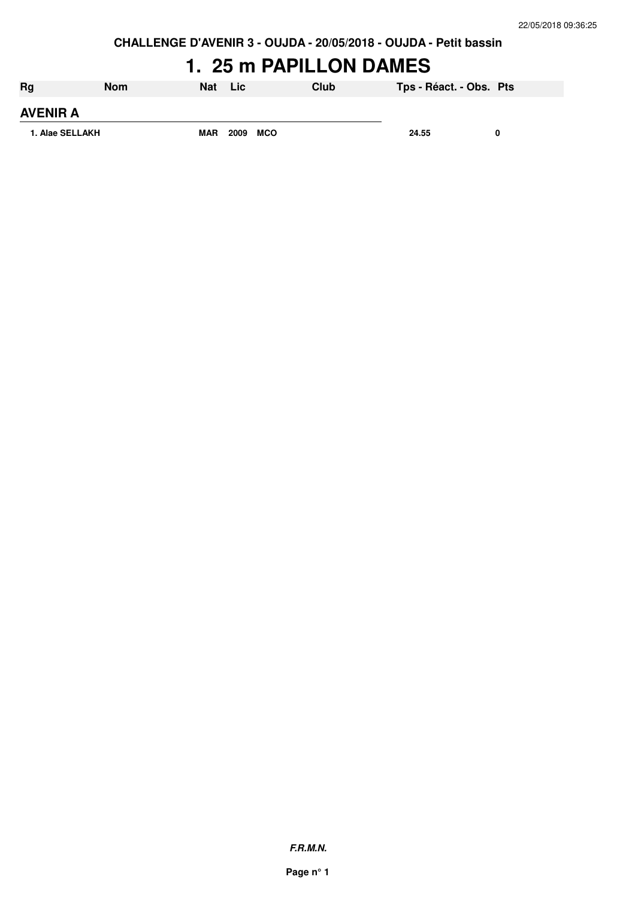### **1. 25 m PAPILLON DAMES**

| Rg              | <b>Nom</b> | <b>Nat</b> | <b>Lic</b> |            | Club | Tps - Réact. - Obs. Pts |   |
|-----------------|------------|------------|------------|------------|------|-------------------------|---|
| <b>AVENIR A</b> |            |            |            |            |      |                         |   |
| 1. Alae SELLAKH |            | <b>MAR</b> | 2009       | <b>MCO</b> |      | 24.55                   | 0 |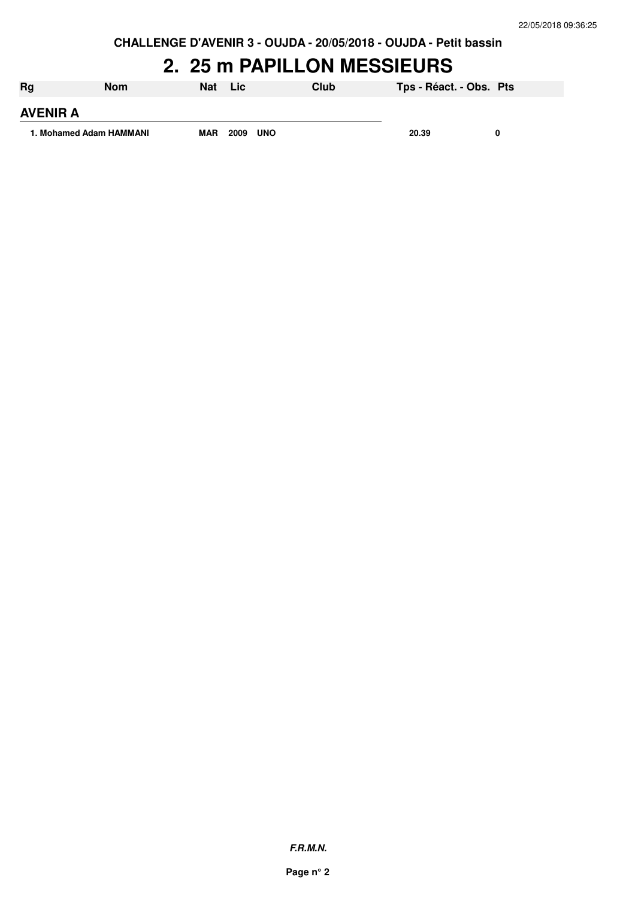#### **2. 25 m PAPILLON MESSIEURS**

| Rg                      | <b>Nom</b> | Nat        | Lic  |            | Club | Tps - Réact. - Obs. Pts |   |
|-------------------------|------------|------------|------|------------|------|-------------------------|---|
| <b>AVENIR A</b>         |            |            |      |            |      |                         |   |
| 1. Mohamed Adam HAMMANI |            | <b>MAR</b> | 2009 | <b>UNO</b> |      | 20.39                   | 0 |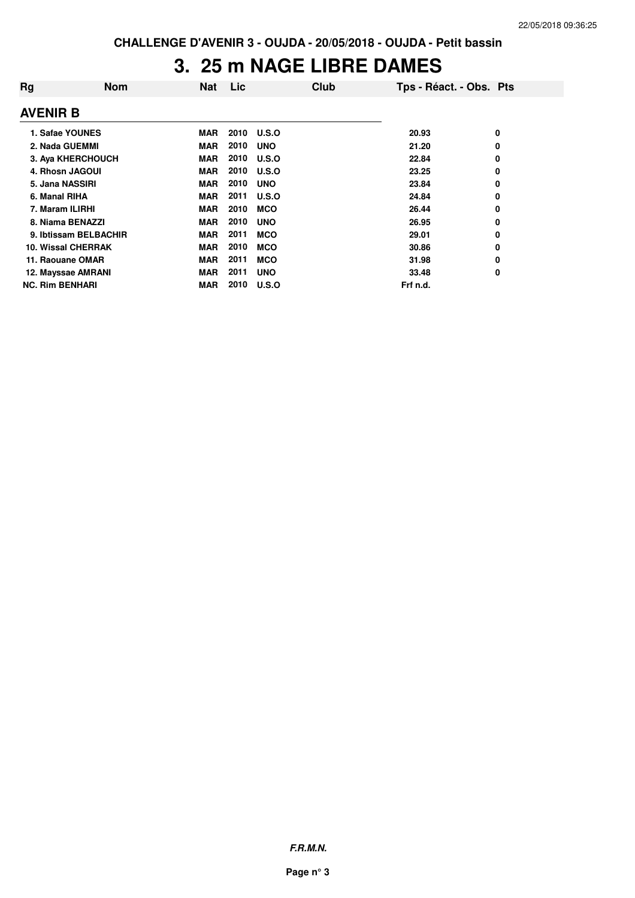### **3. 25 m NAGE LIBRE DAMES**

| Rg                        | <b>Nom</b>            | <b>Nat</b> | Lic  | Club         | Tps - Réact. - Obs. Pts |   |
|---------------------------|-----------------------|------------|------|--------------|-------------------------|---|
| <b>AVENIR B</b>           |                       |            |      |              |                         |   |
| 1. Safae YOUNES           |                       | <b>MAR</b> |      | 2010 U.S.O   | 20.93                   | 0 |
| 2. Nada GUEMMI            |                       | <b>MAR</b> | 2010 | <b>UNO</b>   | 21.20                   | 0 |
| 3. Aya KHERCHOUCH         |                       | <b>MAR</b> | 2010 | U.S.O        | 22.84                   | 0 |
| 4. Rhosn JAGOUI           |                       | MAR        | 2010 | <b>U.S.O</b> | 23.25                   | 0 |
| 5. Jana NASSIRI           |                       | <b>MAR</b> | 2010 | <b>UNO</b>   | 23.84                   | 0 |
| 6. Manal RIHA             |                       | <b>MAR</b> | 2011 | <b>U.S.O</b> | 24.84                   | 0 |
| 7. Maram ILIRHI           |                       | <b>MAR</b> | 2010 | MCO          | 26.44                   | 0 |
| 8. Niama BENAZZI          |                       | <b>MAR</b> | 2010 | <b>UNO</b>   | 26.95                   | 0 |
|                           | 9. Ibtissam BELBACHIR | <b>MAR</b> | 2011 | <b>MCO</b>   | 29.01                   | 0 |
| <b>10. Wissal CHERRAK</b> |                       | <b>MAR</b> | 2010 | <b>MCO</b>   | 30.86                   | 0 |
| 11. Raouane OMAR          |                       | <b>MAR</b> | 2011 | <b>MCO</b>   | 31.98                   | 0 |
| 12. Mayssae AMRANI        |                       | <b>MAR</b> | 2011 | <b>UNO</b>   | 33.48                   | 0 |
| <b>NC. Rim BENHARI</b>    |                       | <b>MAR</b> | 2010 | U.S.O        | Frf n.d.                |   |

**F.R.M.N.**

**Page n° 3**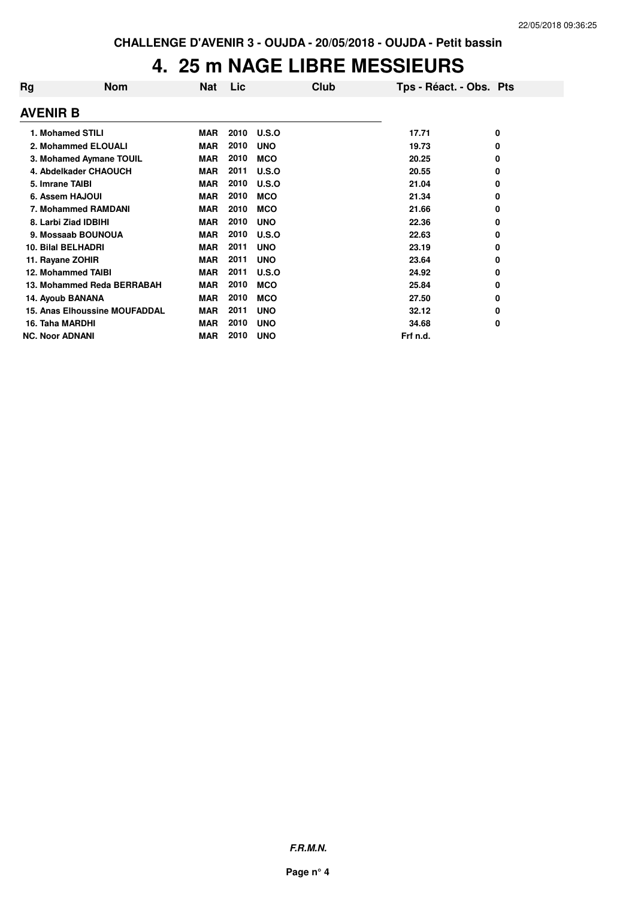#### **4. 25 m NAGE LIBRE MESSIEURS**

| Rg                     | <b>Nom</b>                           | Nat        | Lic  | Club       | Tps - Réact. - Obs. Pts |   |
|------------------------|--------------------------------------|------------|------|------------|-------------------------|---|
| <b>AVENIR B</b>        |                                      |            |      |            |                         |   |
|                        | 1. Mohamed STILI                     | <b>MAR</b> | 2010 | U.S.O      | 17.71                   | 0 |
|                        | 2. Mohammed ELOUALI                  | <b>MAR</b> | 2010 | <b>UNO</b> | 19.73                   | 0 |
|                        | 3. Mohamed Aymane TOUIL              | <b>MAR</b> | 2010 | <b>MCO</b> | 20.25                   | 0 |
|                        | 4. Abdelkader CHAOUCH                | <b>MAR</b> | 2011 | U.S.O      | 20.55                   | 0 |
| 5. Imrane TAIBI        |                                      | <b>MAR</b> | 2010 | U.S.O      | 21.04                   | 0 |
|                        | 6. Assem HAJOUI                      | <b>MAR</b> | 2010 | <b>MCO</b> | 21.34                   | 0 |
|                        | 7. Mohammed RAMDANI                  | <b>MAR</b> | 2010 | <b>MCO</b> | 21.66                   | 0 |
|                        | 8. Larbi Ziad IDBIHI                 | <b>MAR</b> | 2010 | <b>UNO</b> | 22.36                   | 0 |
|                        | 9. Mossaab BOUNOUA                   | <b>MAR</b> | 2010 | U.S.O      | 22.63                   | 0 |
|                        | <b>10. Bilal BELHADRI</b>            | <b>MAR</b> | 2011 | <b>UNO</b> | 23.19                   | 0 |
|                        | 11. Rayane ZOHIR                     | <b>MAR</b> | 2011 | <b>UNO</b> | 23.64                   | 0 |
|                        | 12. Mohammed TAIBI                   | <b>MAR</b> | 2011 | U.S.O      | 24.92                   | 0 |
|                        | 13. Mohammed Reda BERRABAH           | <b>MAR</b> | 2010 | <b>MCO</b> | 25.84                   | 0 |
|                        | 14. Ayoub BANANA                     | <b>MAR</b> | 2010 | <b>MCO</b> | 27.50                   | 0 |
|                        | <b>15. Anas Elhoussine MOUFADDAL</b> | <b>MAR</b> | 2011 | <b>UNO</b> | 32.12                   | 0 |
| 16. Taha MARDHI        |                                      | <b>MAR</b> | 2010 | <b>UNO</b> | 34.68                   | 0 |
| <b>NC. Noor ADNANI</b> |                                      | <b>MAR</b> | 2010 | <b>UNO</b> | Frf n.d.                |   |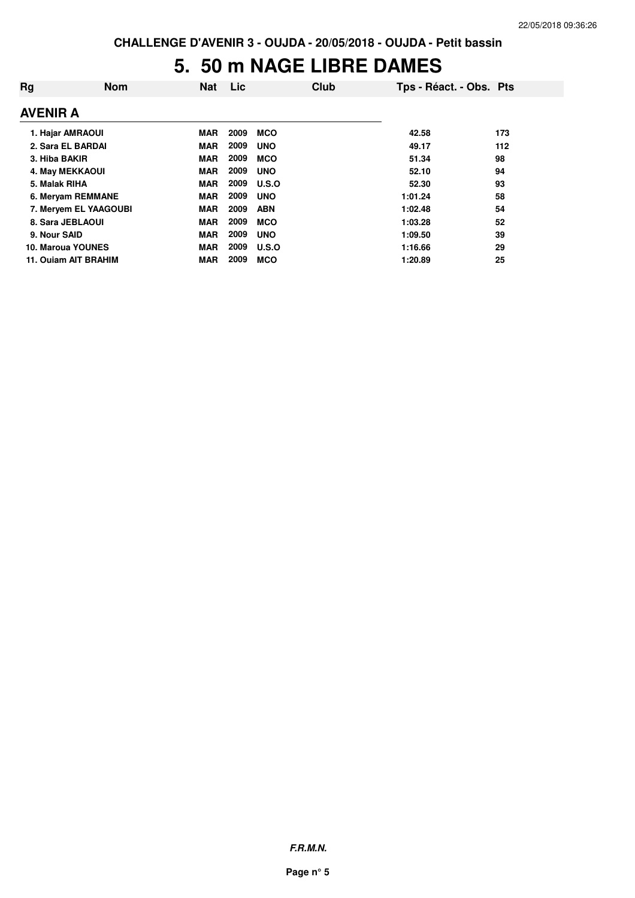### **5. 50 m NAGE LIBRE DAMES**

| Rg            | <b>Nom</b>            | <b>Nat</b> | Lic  | Club         | Tps - Réact. - Obs. Pts |     |
|---------------|-----------------------|------------|------|--------------|-------------------------|-----|
| AVENIR A      |                       |            |      |              |                         |     |
|               | 1. Hajar AMRAOUI      | <b>MAR</b> | 2009 | MCO          | 42.58                   | 173 |
|               | 2. Sara EL BARDAI     | <b>MAR</b> | 2009 | <b>UNO</b>   | 49.17                   | 112 |
| 3. Hiba BAKIR |                       | <b>MAR</b> | 2009 | <b>MCO</b>   | 51.34                   | 98  |
|               | 4. May MEKKAOUI       | <b>MAR</b> | 2009 | <b>UNO</b>   | 52.10                   | 94  |
| 5. Malak RIHA |                       | <b>MAR</b> | 2009 | U.S.O        | 52.30                   | 93  |
|               | 6. Meryam REMMANE     | <b>MAR</b> | 2009 | <b>UNO</b>   | 1:01.24                 | 58  |
|               | 7. Meryem EL YAAGOUBI | <b>MAR</b> | 2009 | <b>ABN</b>   | 1:02.48                 | 54  |
|               | 8. Sara JEBLAOUI      | <b>MAR</b> | 2009 | <b>MCO</b>   | 1:03.28                 | 52  |
| 9. Nour SAID  |                       | <b>MAR</b> | 2009 | <b>UNO</b>   | 1:09.50                 | 39  |
|               | 10. Maroua YOUNES     | <b>MAR</b> | 2009 | <b>U.S.O</b> | 1:16.66                 | 29  |
|               | 11. Ouiam AIT BRAHIM  | <b>MAR</b> | 2009 | <b>MCO</b>   | 1:20.89                 | 25  |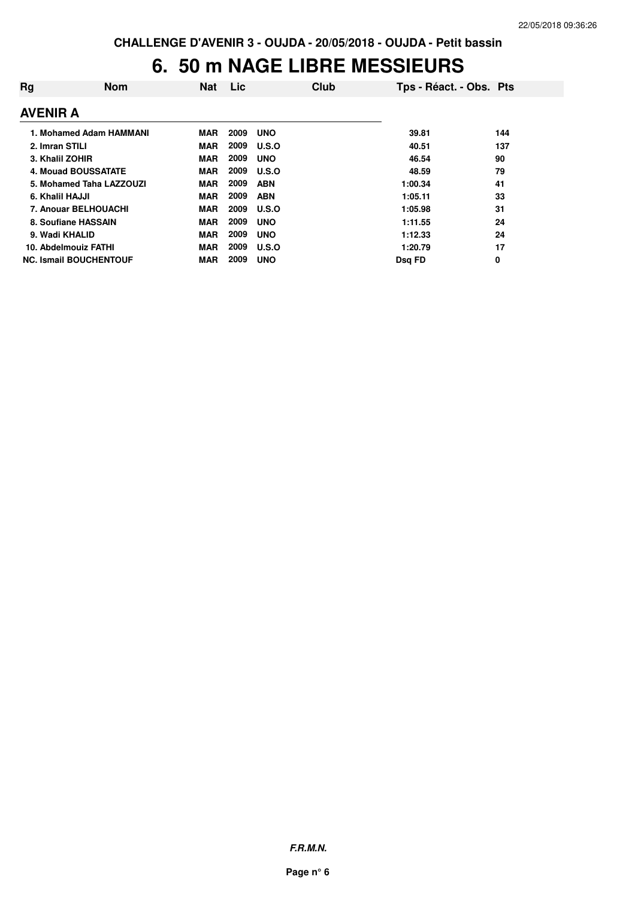#### **6. 50 m NAGE LIBRE MESSIEURS**

| Rg                            | <b>Nom</b>               | <b>Nat</b> | <b>Lic</b> | Club         | Tps - Réact. - Obs. Pts |     |
|-------------------------------|--------------------------|------------|------------|--------------|-------------------------|-----|
| <b>AVENIR A</b>               |                          |            |            |              |                         |     |
|                               | 1. Mohamed Adam HAMMANI  | MAR        | 2009       | <b>UNO</b>   | 39.81                   | 144 |
| 2. Imran STILI                |                          | <b>MAR</b> | 2009       | <b>U.S.O</b> | 40.51                   | 137 |
| 3. Khalil ZOHIR               |                          | <b>MAR</b> | 2009       | <b>UNO</b>   | 46.54                   | 90  |
| 4. Mouad BOUSSATATE           |                          | <b>MAR</b> | 2009       | U.S.O        | 48.59                   | 79  |
|                               | 5. Mohamed Taha LAZZOUZI | <b>MAR</b> | 2009       | <b>ABN</b>   | 1:00.34                 | 41  |
| 6. Khalil HAJJI               |                          | <b>MAR</b> | 2009       | <b>ABN</b>   | 1:05.11                 | 33  |
| 7. Anouar BELHOUACHI          |                          | <b>MAR</b> | 2009       | U.S.O        | 1:05.98                 | 31  |
| 8. Soufiane HASSAIN           |                          | <b>MAR</b> | 2009       | <b>UNO</b>   | 1:11.55                 | 24  |
| 9. Wadi KHALID                |                          | <b>MAR</b> | 2009       | <b>UNO</b>   | 1:12.33                 | 24  |
| 10. Abdelmouiz FATHI          |                          | <b>MAR</b> | 2009       | U.S.O        | 1:20.79                 | 17  |
| <b>NC. Ismail BOUCHENTOUF</b> |                          | <b>MAR</b> | 2009       | <b>UNO</b>   | Dsg FD                  | 0   |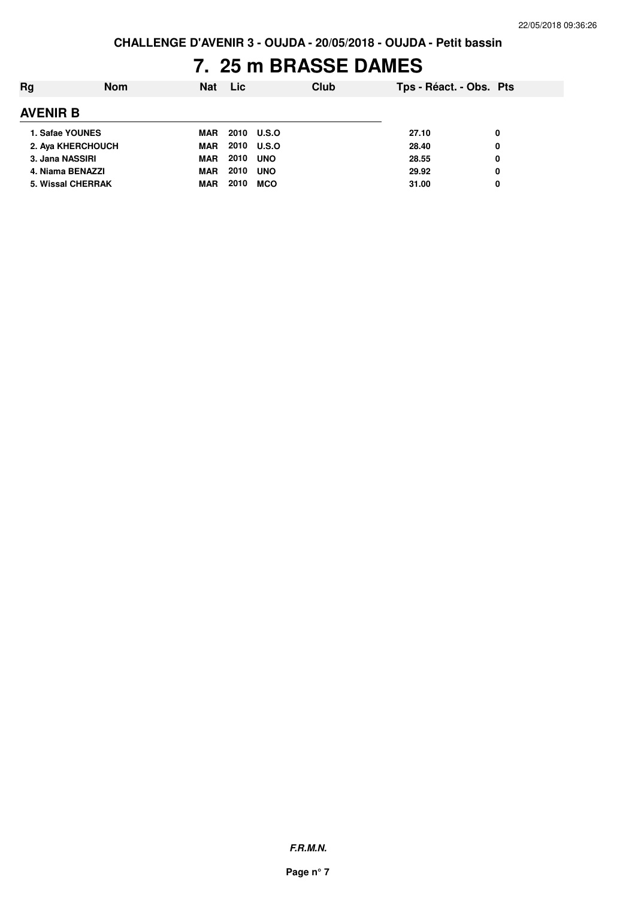## **7. 25 m BRASSE DAMES**

| Rg              | <b>Nom</b>               | Nat        | Lic  | Club       | Tps - Réact. - Obs. Pts |   |
|-----------------|--------------------------|------------|------|------------|-------------------------|---|
| <b>AVENIR B</b> |                          |            |      |            |                         |   |
|                 | 1. Safae YOUNES          | MAR        |      | 2010 U.S.O | 27.10                   | 0 |
|                 | 2. Aya KHERCHOUCH        | <b>MAR</b> |      | 2010 U.S.O | 28.40                   | 0 |
|                 | 3. Jana NASSIRI          | <b>MAR</b> | 2010 | <b>UNO</b> | 28.55                   | 0 |
|                 | 4. Niama BENAZZI         | <b>MAR</b> | 2010 | <b>UNO</b> | 29.92                   | 0 |
|                 | <b>5. Wissal CHERRAK</b> | MAR        | 2010 | MCO        | 31.00                   | 0 |
|                 |                          |            |      |            |                         |   |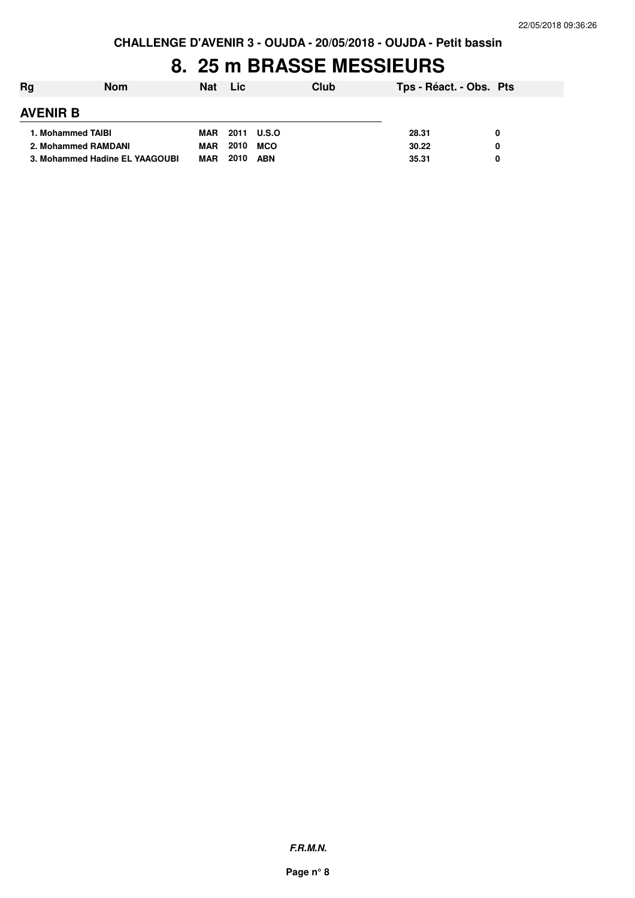### **8. 25 m BRASSE MESSIEURS**

| Rg              | <b>Nom</b>                     | <b>Nat</b> | Lic. | <b>Club</b> | Tps - Réact. - Obs. Pts |  |
|-----------------|--------------------------------|------------|------|-------------|-------------------------|--|
| <b>AVENIR B</b> |                                |            |      |             |                         |  |
|                 | 1. Mohammed TAIBI              | MAR        |      | 2011 U.S.O  | 28.31                   |  |
|                 | 2. Mohammed RAMDANI            | <b>MAR</b> | 2010 | <b>MCO</b>  | 30.22                   |  |
|                 | 3. Mohammed Hadine EL YAAGOUBI | <b>MAR</b> | 2010 | <b>ABN</b>  | 35.31                   |  |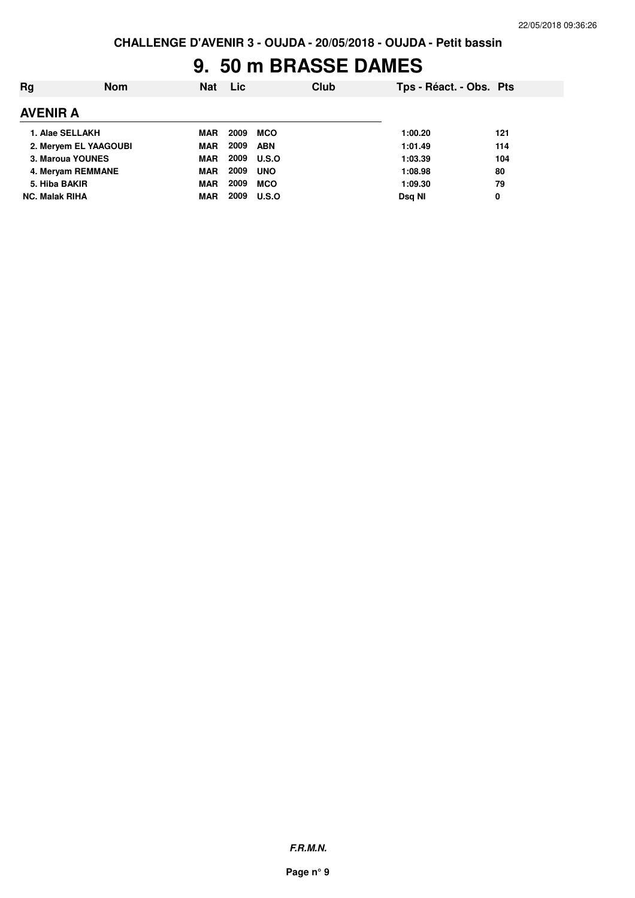## **9. 50 m BRASSE DAMES**

| Ra                    | <b>Nom</b>            | <b>Nat</b> | <b>Lic</b> | Club         | Tps - Réact. - Obs. Pts |     |
|-----------------------|-----------------------|------------|------------|--------------|-------------------------|-----|
| AVENIR A              |                       |            |            |              |                         |     |
|                       | 1. Alae SELLAKH       | <b>MAR</b> | 2009       | <b>MCO</b>   | 1:00.20                 | 121 |
|                       | 2. Mervem EL YAAGOUBI | <b>MAR</b> | 2009       | <b>ABN</b>   | 1:01.49                 | 114 |
|                       | 3. Maroua YOUNES      | <b>MAR</b> | 2009       | <b>U.S.O</b> | 1:03.39                 | 104 |
|                       | 4. Mervam REMMANE     | <b>MAR</b> | 2009       | <b>UNO</b>   | 1:08.98                 | 80  |
| 5. Hiba BAKIR         |                       | <b>MAR</b> | 2009       | <b>MCO</b>   | 1:09.30                 | 79  |
| <b>NC. Malak RIHA</b> |                       | <b>MAR</b> | 2009       | <b>U.S.O</b> | Dsg NI                  | 0   |
|                       |                       |            |            |              |                         |     |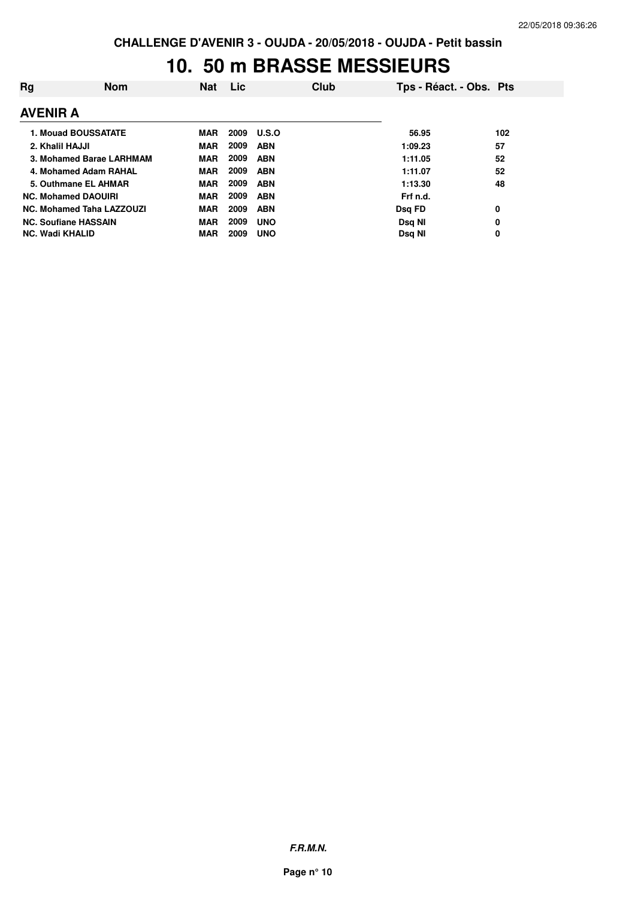#### **10. 50 m BRASSE MESSIEURS**

| Rg                     | <b>Nom</b>                  | Nat        | <b>Lic</b> | Club         | Tps - Réact. - Obs. Pts |     |
|------------------------|-----------------------------|------------|------------|--------------|-------------------------|-----|
| <b>AVENIR A</b>        |                             |            |            |              |                         |     |
|                        | <b>1. Mouad BOUSSATATE</b>  | <b>MAR</b> | 2009       | <b>U.S.O</b> | 56.95                   | 102 |
| 2. Khalil HAJJI        |                             | <b>MAR</b> | 2009       | <b>ABN</b>   | 1:09.23                 | 57  |
|                        | 3. Mohamed Barae LARHMAM    | <b>MAR</b> | 2009       | <b>ABN</b>   | 1:11.05                 | 52  |
|                        | 4. Mohamed Adam RAHAL       | <b>MAR</b> | 2009       | <b>ABN</b>   | 1:11.07                 | 52  |
|                        | 5. Outhmane EL AHMAR        | <b>MAR</b> | 2009       | <b>ABN</b>   | 1:13.30                 | 48  |
|                        | <b>NC. Mohamed DAOUIRI</b>  | MAR        | 2009       | <b>ABN</b>   | Frf n.d.                |     |
|                        | NC. Mohamed Taha LAZZOUZI   | MAR        | 2009       | <b>ABN</b>   | Dsg FD                  | 0   |
|                        | <b>NC. Soufiane HASSAIN</b> | <b>MAR</b> | 2009       | <b>UNO</b>   | Dsg NI                  | 0   |
| <b>NC. Wadi KHALID</b> |                             | <b>MAR</b> | 2009       | <b>UNO</b>   | Dsg NI                  | 0   |

**F.R.M.N.**

**Page n° 10**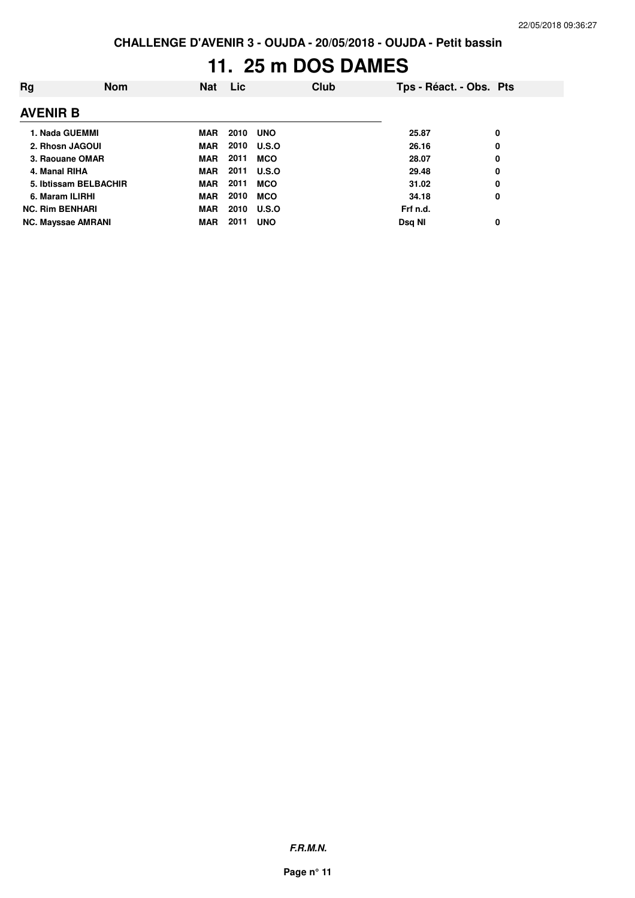# **11. 25 m DOS DAMES**

| Rg                        | <b>Nom</b> | <b>Nat</b> | <b>Lic</b> |              | <b>Club</b> | Tps - Réact. - Obs. Pts |   |
|---------------------------|------------|------------|------------|--------------|-------------|-------------------------|---|
| <b>AVENIR B</b>           |            |            |            |              |             |                         |   |
| 1. Nada GUEMMI            |            | <b>MAR</b> | 2010       | <b>UNO</b>   |             | 25.87                   | 0 |
| 2. Rhosn JAGOUI           |            | MAR        | 2010       | <b>U.S.O</b> |             | 26.16                   | 0 |
| 3. Raouane OMAR           |            | <b>MAR</b> | 2011       | <b>MCO</b>   |             | 28.07                   | 0 |
| 4. Manal RIHA             |            | MAR        | 2011       | <b>U.S.O</b> |             | 29.48                   | 0 |
| 5. Ibtissam BELBACHIR     |            | MAR        | 2011       | <b>MCO</b>   |             | 31.02                   | 0 |
| 6. Maram ILIRHI           |            | <b>MAR</b> | 2010       | <b>MCO</b>   |             | 34.18                   | 0 |
| <b>NC. Rim BENHARI</b>    |            | <b>MAR</b> | 2010       | <b>U.S.O</b> |             | Frf n.d.                |   |
| <b>NC. Mayssae AMRANI</b> |            | <b>MAR</b> | 2011       | <b>UNO</b>   |             | Dsg NI                  | 0 |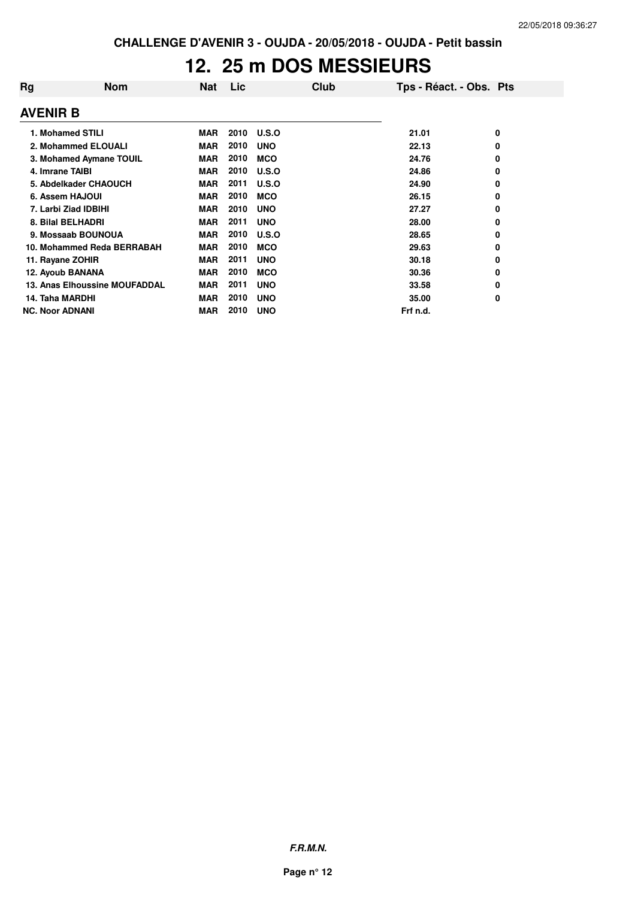### **12. 25 m DOS MESSIEURS**

| Rg                     | <b>Nom</b>                    | <b>Nat</b> | Lic  | Club         | Tps - Réact. - Obs. Pts |   |
|------------------------|-------------------------------|------------|------|--------------|-------------------------|---|
| <b>AVENIR B</b>        |                               |            |      |              |                         |   |
|                        | 1. Mohamed STILI              | <b>MAR</b> | 2010 | <b>U.S.O</b> | 21.01                   | 0 |
|                        | 2. Mohammed ELOUALI           | <b>MAR</b> | 2010 | <b>UNO</b>   | 22.13                   | 0 |
|                        | 3. Mohamed Aymane TOUIL       | <b>MAR</b> | 2010 | <b>MCO</b>   | 24.76                   | 0 |
| 4. Imrane TAIBI        |                               | <b>MAR</b> | 2010 | <b>U.S.O</b> | 24.86                   | 0 |
|                        | 5. Abdelkader CHAOUCH         | <b>MAR</b> | 2011 | U.S.O        | 24.90                   | 0 |
| 6. Assem HAJOUI        |                               | <b>MAR</b> | 2010 | <b>MCO</b>   | 26.15                   | 0 |
|                        | 7. Larbi Ziad IDBIHI          | <b>MAR</b> | 2010 | <b>UNO</b>   | 27.27                   | 0 |
|                        | 8. Bilal BELHADRI             | <b>MAR</b> | 2011 | <b>UNO</b>   | 28.00                   | 0 |
|                        | 9. Mossaab BOUNOUA            | <b>MAR</b> | 2010 | U.S.O        | 28.65                   | 0 |
|                        | 10. Mohammed Reda BERRABAH    | <b>MAR</b> | 2010 | <b>MCO</b>   | 29.63                   | 0 |
| 11. Rayane ZOHIR       |                               | <b>MAR</b> | 2011 | <b>UNO</b>   | 30.18                   | 0 |
| 12. Ayoub BANANA       |                               | <b>MAR</b> | 2010 | <b>MCO</b>   | 30.36                   | 0 |
|                        | 13. Anas Elhoussine MOUFADDAL | <b>MAR</b> | 2011 | <b>UNO</b>   | 33.58                   | 0 |
| 14. Taha MARDHI        |                               | <b>MAR</b> | 2010 | <b>UNO</b>   | 35.00                   | 0 |
| <b>NC. Noor ADNANI</b> |                               | <b>MAR</b> | 2010 | <b>UNO</b>   | Frf n.d.                |   |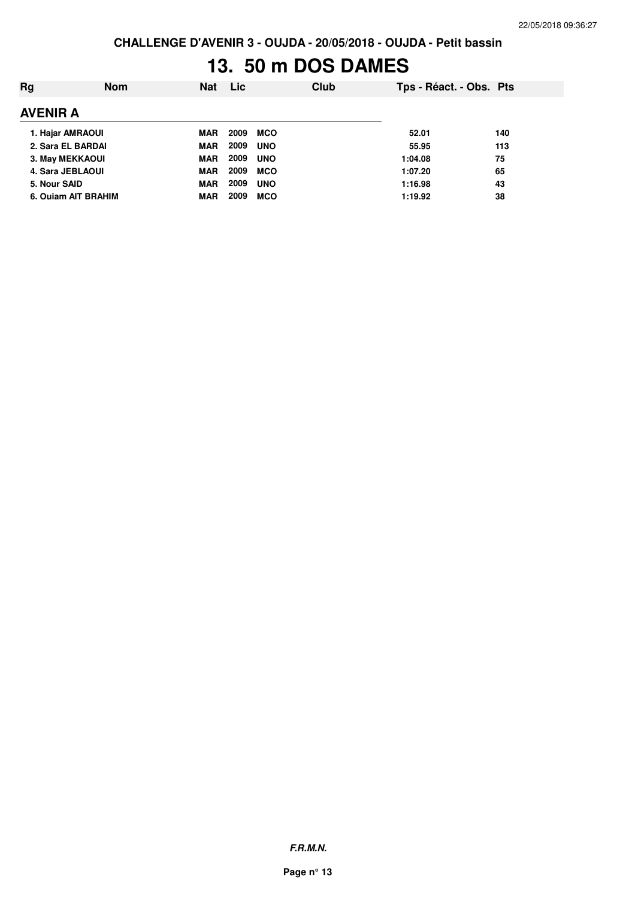# **13. 50 m DOS DAMES**

| Ra              | <b>Nom</b>             | <b>Nat</b> | Lic  | Club       | Tps - Réact. - Obs. Pts |     |
|-----------------|------------------------|------------|------|------------|-------------------------|-----|
| <b>AVENIR A</b> |                        |            |      |            |                         |     |
|                 | 1. Hajar AMRAOUI       | MAR        | 2009 | MCO        | 52.01                   | 140 |
|                 | 2. Sara EL BARDAI      | <b>MAR</b> | 2009 | <b>UNO</b> | 55.95                   | 113 |
|                 | <b>3. May MEKKAOUI</b> | MAR        | 2009 | <b>UNO</b> | 1:04.08                 | 75  |
|                 | 4. Sara JEBLAOUI       | <b>MAR</b> | 2009 | MCO        | 1:07.20                 | 65  |
| 5. Nour SAID    |                        | MAR        | 2009 | <b>UNO</b> | 1:16.98                 | 43  |
|                 | 6. Ouiam AIT BRAHIM    | <b>MAR</b> | 2009 | <b>MCO</b> | 1:19.92                 | 38  |
|                 |                        |            |      |            |                         |     |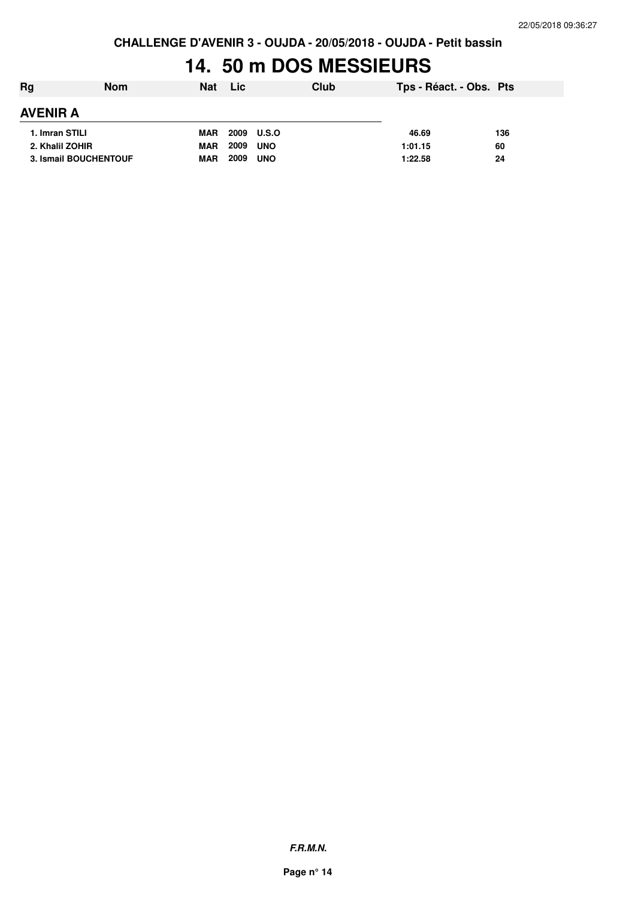### **14. 50 m DOS MESSIEURS**

| Rg              | <b>Nom</b>                   | <b>Nat</b> | <b>Lic</b> | Club       | Tps - Réact. - Obs. Pts |     |
|-----------------|------------------------------|------------|------------|------------|-------------------------|-----|
| <b>AVENIR A</b> |                              |            |            |            |                         |     |
| 1. Imran STILI  |                              | <b>MAR</b> | 2009 U.S.O |            | 46.69                   | 136 |
| 2. Khalil ZOHIR |                              | <b>MAR</b> | 2009       | <b>UNO</b> | 1:01.15                 | 60  |
|                 | <b>3. Ismail BOUCHENTOUF</b> | <b>MAR</b> | 2009       | <b>UNO</b> | 1:22.58                 | 24  |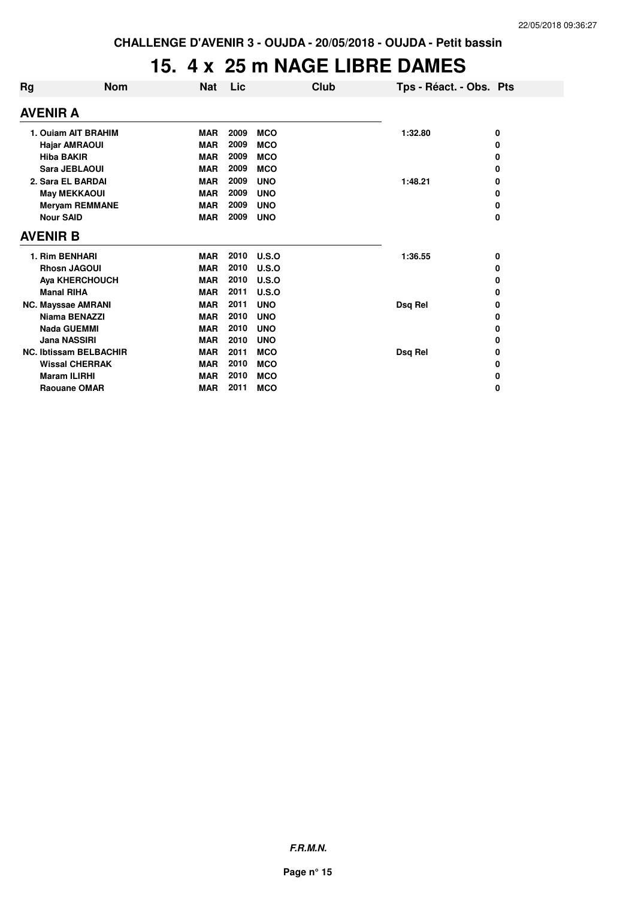#### **15. 4 x 25 m NAGE LIBRE DAMES**

| Rg                            | <b>Nom</b>                | <b>Nat</b> | Lic  |            | Club | Tps - Réact. - Obs. Pts |   |  |  |
|-------------------------------|---------------------------|------------|------|------------|------|-------------------------|---|--|--|
|                               | AVENIR A                  |            |      |            |      |                         |   |  |  |
|                               | 1. Ouiam AIT BRAHIM       | <b>MAR</b> | 2009 | <b>MCO</b> |      | 1:32.80                 | 0 |  |  |
|                               | <b>Hajar AMRAOUI</b>      | <b>MAR</b> | 2009 | <b>MCO</b> |      |                         | 0 |  |  |
|                               | <b>Hiba BAKIR</b>         | <b>MAR</b> | 2009 | <b>MCO</b> |      |                         | 0 |  |  |
|                               | <b>Sara JEBLAOUI</b>      | <b>MAR</b> | 2009 | <b>MCO</b> |      |                         | 0 |  |  |
|                               | 2. Sara EL BARDAI         | <b>MAR</b> | 2009 | <b>UNO</b> |      | 1:48.21                 | 0 |  |  |
|                               | <b>May MEKKAOUI</b>       | <b>MAR</b> | 2009 | <b>UNO</b> |      |                         | 0 |  |  |
|                               | <b>Meryam REMMANE</b>     | <b>MAR</b> | 2009 | <b>UNO</b> |      |                         | 0 |  |  |
|                               | <b>Nour SAID</b>          | <b>MAR</b> | 2009 | <b>UNO</b> |      |                         | 0 |  |  |
|                               | <b>AVENIR B</b>           |            |      |            |      |                         |   |  |  |
|                               | 1. Rim BENHARI            | <b>MAR</b> | 2010 | U.S.O      |      | 1:36.55                 | 0 |  |  |
|                               | <b>Rhosn JAGOUI</b>       | <b>MAR</b> | 2010 | U.S.O      |      |                         | 0 |  |  |
|                               | <b>Aya KHERCHOUCH</b>     | <b>MAR</b> | 2010 | U.S.O      |      |                         | 0 |  |  |
|                               | <b>Manal RIHA</b>         | <b>MAR</b> | 2011 | U.S.O      |      |                         | 0 |  |  |
|                               | <b>NC. Mayssae AMRANI</b> | <b>MAR</b> | 2011 | <b>UNO</b> |      | Dsq Rel                 | 0 |  |  |
|                               | Niama BENAZZI             | <b>MAR</b> | 2010 | <b>UNO</b> |      |                         | 0 |  |  |
|                               | <b>Nada GUEMMI</b>        | <b>MAR</b> | 2010 | <b>UNO</b> |      |                         | 0 |  |  |
|                               | <b>Jana NASSIRI</b>       | <b>MAR</b> | 2010 | <b>UNO</b> |      |                         | 0 |  |  |
| <b>NC. Ibtissam BELBACHIR</b> |                           | <b>MAR</b> | 2011 | <b>MCO</b> |      | Dsq Rel                 | 0 |  |  |
|                               | <b>Wissal CHERRAK</b>     | <b>MAR</b> | 2010 | <b>MCO</b> |      |                         | 0 |  |  |
|                               | <b>Maram ILIRHI</b>       | <b>MAR</b> | 2010 | <b>MCO</b> |      |                         | 0 |  |  |
|                               | <b>Raouane OMAR</b>       | <b>MAR</b> | 2011 | <b>MCO</b> |      |                         | 0 |  |  |